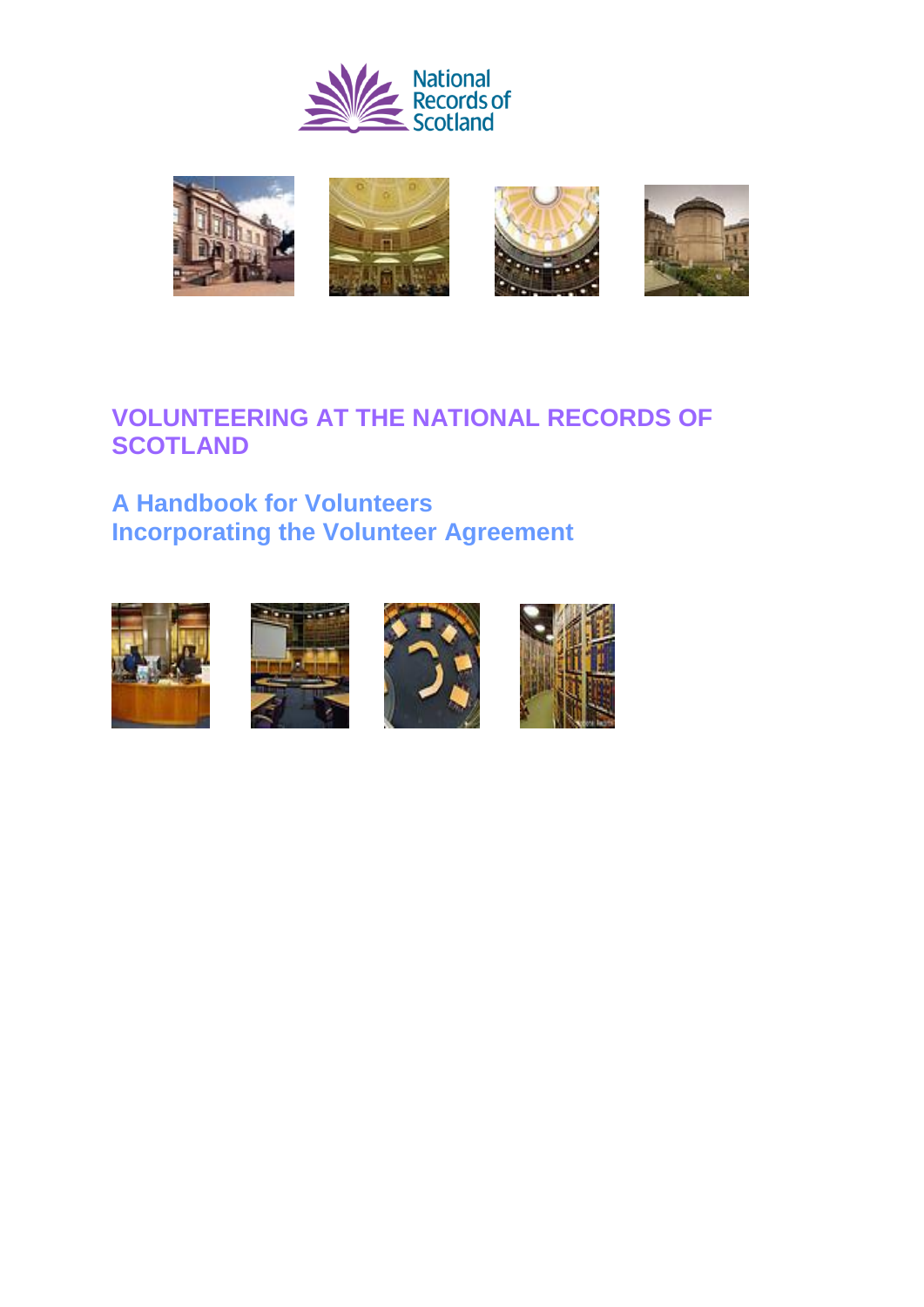



# **VOLUNTEERING AT THE NATIONAL RECORDS OF SCOTLAND**

# **A Handbook for Volunteers Incorporating the Volunteer Agreement**







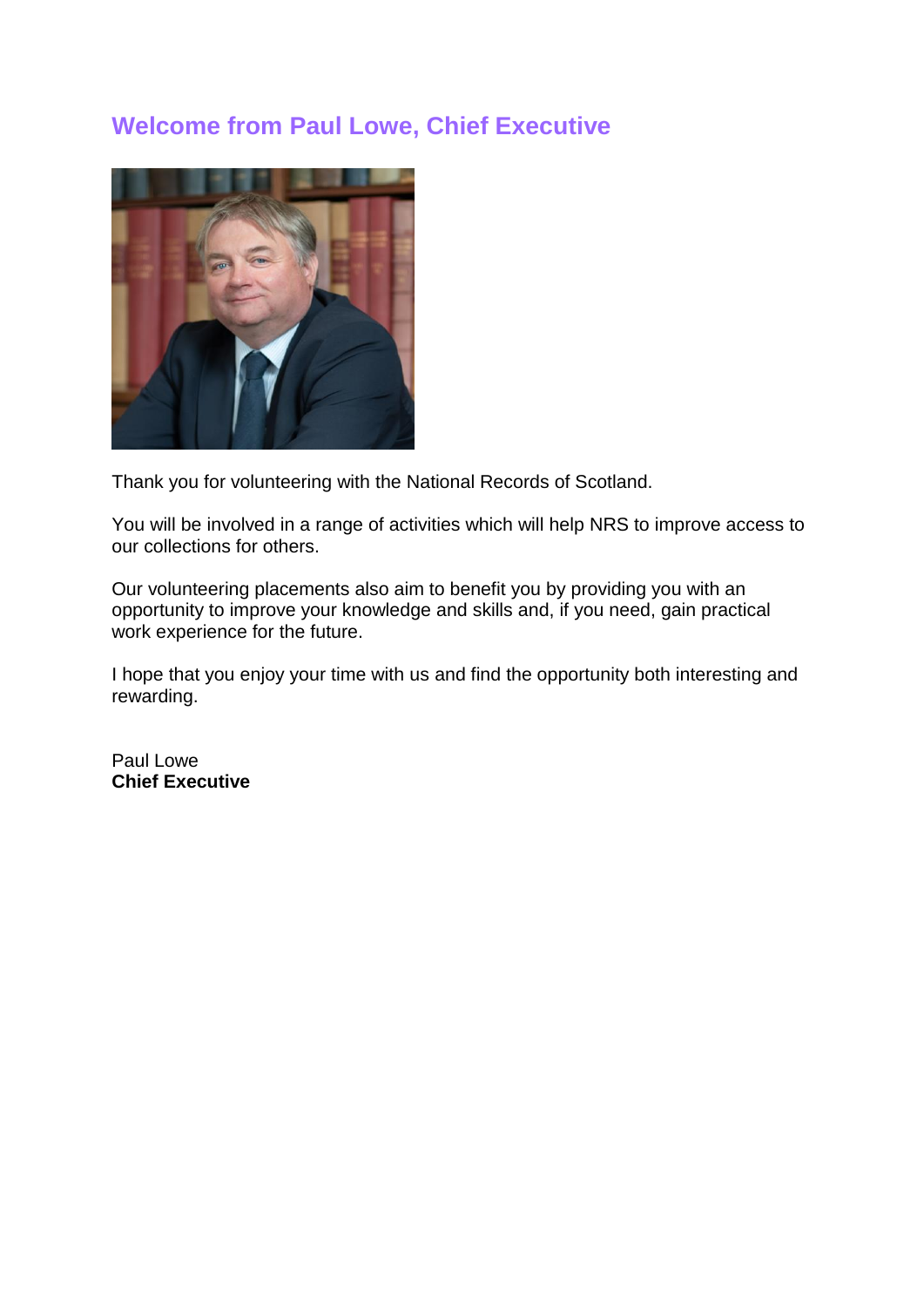# **Welcome from Paul Lowe, Chief Executive**



Thank you for volunteering with the National Records of Scotland.

You will be involved in a range of activities which will help NRS to improve access to our collections for others.

Our volunteering placements also aim to benefit you by providing you with an opportunity to improve your knowledge and skills and, if you need, gain practical work experience for the future.

I hope that you enjoy your time with us and find the opportunity both interesting and rewarding.

Paul Lowe **Chief Executive**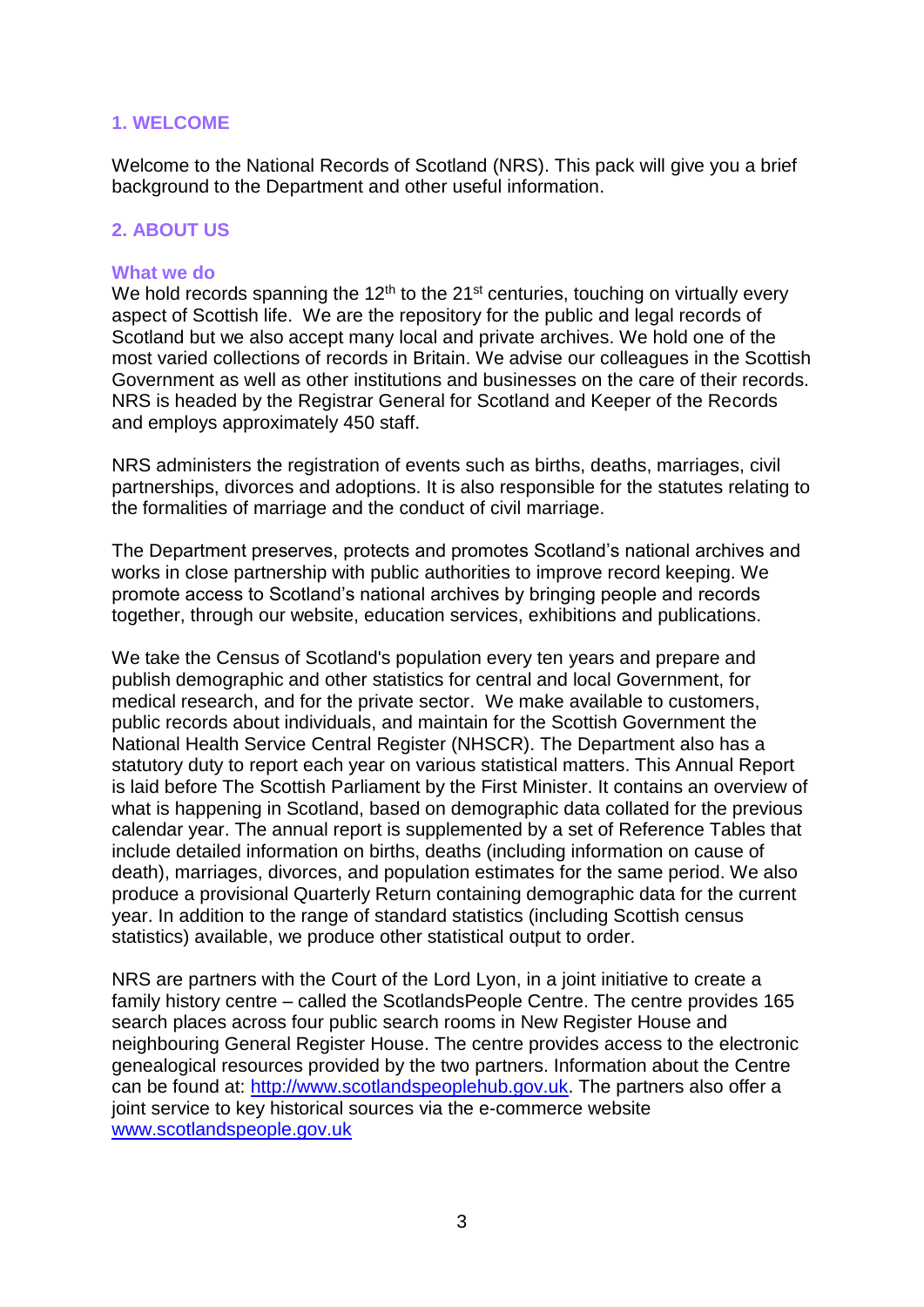## **1. WELCOME**

Welcome to the National Records of Scotland (NRS). This pack will give you a brief background to the Department and other useful information.

## **2. ABOUT US**

#### **What we do**

We hold records spanning the  $12<sup>th</sup>$  to the  $21<sup>st</sup>$  centuries, touching on virtually every aspect of Scottish life. We are the repository for the public and legal records of Scotland but we also accept many local and private archives. We hold one of the most varied collections of records in Britain. We advise our colleagues in the Scottish Government as well as other institutions and businesses on the care of their records. NRS is headed by the Registrar General for Scotland and Keeper of the Records and employs approximately 450 staff.

NRS administers the registration of events such as births, deaths, marriages, civil partnerships, divorces and adoptions. It is also responsible for the statutes relating to the formalities of marriage and the conduct of civil marriage.

The Department preserves, protects and promotes Scotland's national archives and works in close partnership with public authorities to improve record keeping. We promote access to Scotland's national archives by bringing people and records together, through our website, education services, exhibitions and publications.

We take the Census of Scotland's population every ten years and prepare and publish demographic and other statistics for central and local Government, for medical research, and for the private sector. We make available to customers, public records about individuals, and maintain for the Scottish Government the National Health Service Central Register (NHSCR). The Department also has a statutory duty to report each year on various statistical matters. This Annual Report is laid before The Scottish Parliament by the First Minister. It contains an overview of what is happening in Scotland, based on demographic data collated for the previous calendar year. The annual report is supplemented by a set of Reference Tables that include detailed information on births, deaths (including information on cause of death), marriages, divorces, and population estimates for the same period. We also produce a provisional Quarterly Return containing demographic data for the current year. In addition to the range of standard statistics (including Scottish census statistics) available, we produce other statistical output to order.

NRS are partners with the Court of the Lord Lyon, in a joint initiative to create a family history centre – called the ScotlandsPeople Centre. The centre provides 165 search places across four public search rooms in New Register House and neighbouring General Register House. The centre provides access to the electronic genealogical resources provided by the two partners. Information about the Centre can be found at: [http://www.scotlandspeoplehub.gov.uk.](http://www.scotlandspeoplehub.gov.uk/) The partners also offer a joint service to key historical sources via the e-commerce website [www.scotlandspeople.gov.uk](http://www.scotlandspeople.gov.uk/)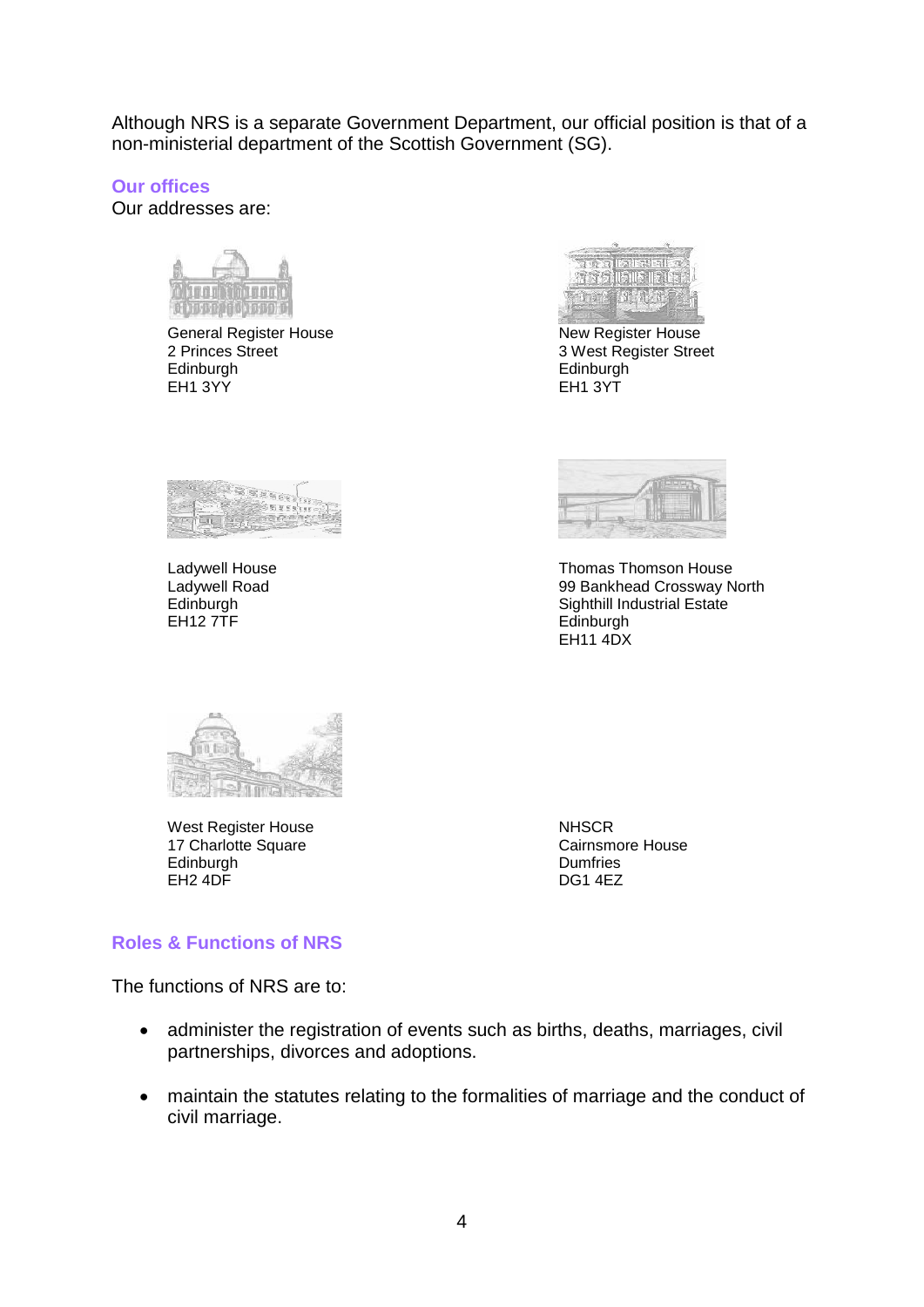Although NRS is a separate Government Department, our official position is that of a non-ministerial department of the Scottish Government (SG).

**Our offices**

Our addresses are:

11612101010

General Register House<br>
2 Princes Street<br>
2 Princes Street<br>
2 Nest Register Street Edinburgh Edinburgh  $EH1.3YY$ 



3 West Register Street





Ladywell House<br>
Ladywell Road<br>
Ladywell Road<br>
Crossway N Ladywell Road 99 Bankhead Crossway North Edinburgh Sighthill Industrial Estate<br>EH12 7TF Sighthill Industrial Estate Edinburgh EH<sub>11</sub> 4DX



West Register House NHSCR 17 Charlotte Square **Cairnsmore House**<br>
Edinburgh Cairnsmore House<br>
Cairnsmore House Edinburgh Dumfries<br>EH2 4DF DOS1 4EZ  $EH2$  4DF

## **Roles & Functions of NRS**

The functions of NRS are to:

- administer the registration of events such as births, deaths, marriages, civil partnerships, divorces and adoptions.
- maintain the statutes relating to the formalities of marriage and the conduct of civil marriage.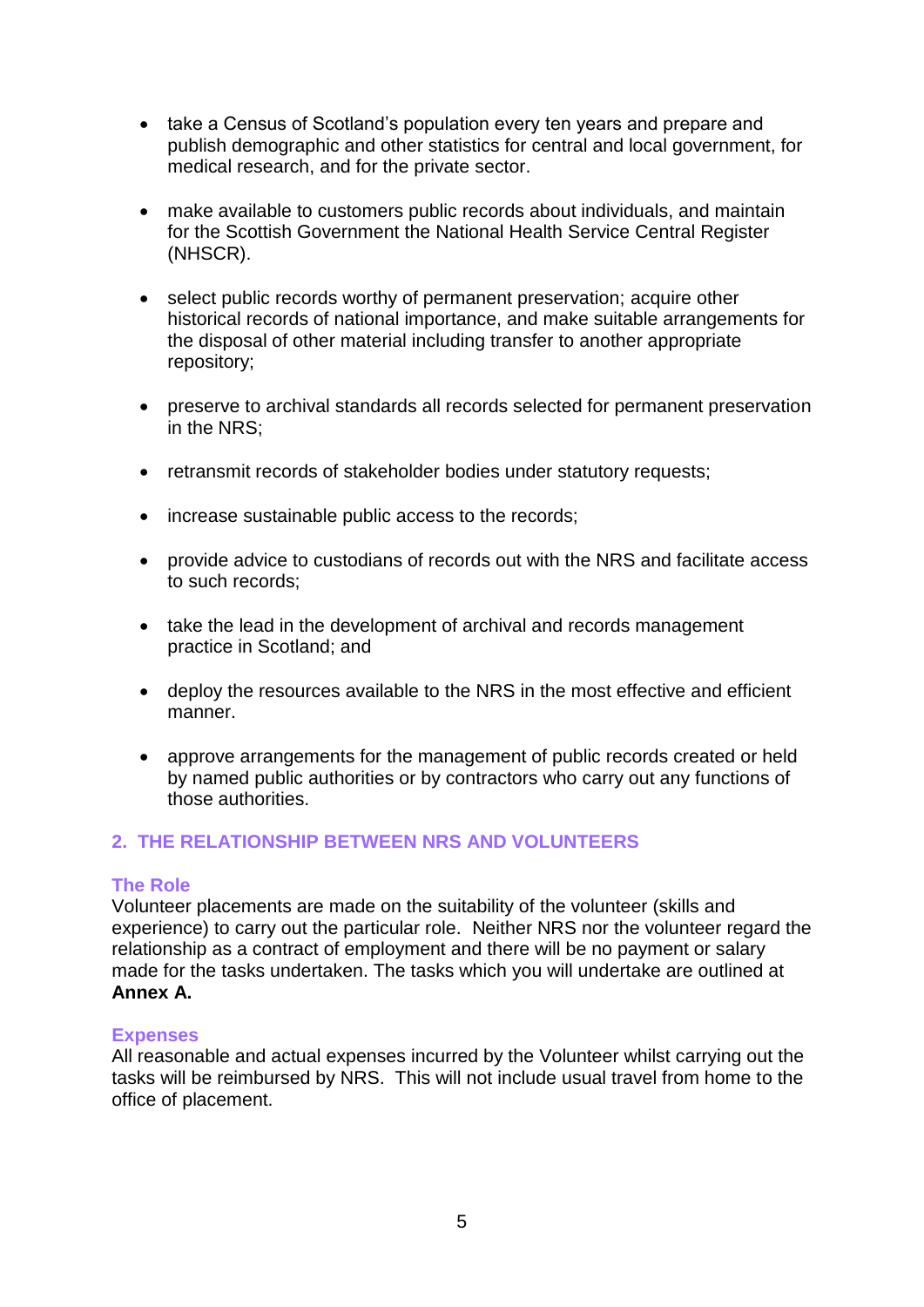- take a Census of Scotland's population every ten years and prepare and publish demographic and other statistics for central and local government, for medical research, and for the private sector.
- make available to customers public records about individuals, and maintain for the Scottish Government the National Health Service Central Register (NHSCR).
- select public records worthy of permanent preservation; acquire other historical records of national importance, and make suitable arrangements for the disposal of other material including transfer to another appropriate repository;
- preserve to archival standards all records selected for permanent preservation in the NRS;
- retransmit records of stakeholder bodies under statutory requests;
- increase sustainable public access to the records;
- provide advice to custodians of records out with the NRS and facilitate access to such records;
- take the lead in the development of archival and records management practice in Scotland; and
- deploy the resources available to the NRS in the most effective and efficient manner.
- approve arrangements for the management of public records created or held by named public authorities or by contractors who carry out any functions of those authorities.

# **2. THE RELATIONSHIP BETWEEN NRS AND VOLUNTEERS**

## **The Role**

Volunteer placements are made on the suitability of the volunteer (skills and experience) to carry out the particular role. Neither NRS nor the volunteer regard the relationship as a contract of employment and there will be no payment or salary made for the tasks undertaken. The tasks which you will undertake are outlined at **Annex A.**

## **Expenses**

All reasonable and actual expenses incurred by the Volunteer whilst carrying out the tasks will be reimbursed by NRS. This will not include usual travel from home to the office of placement.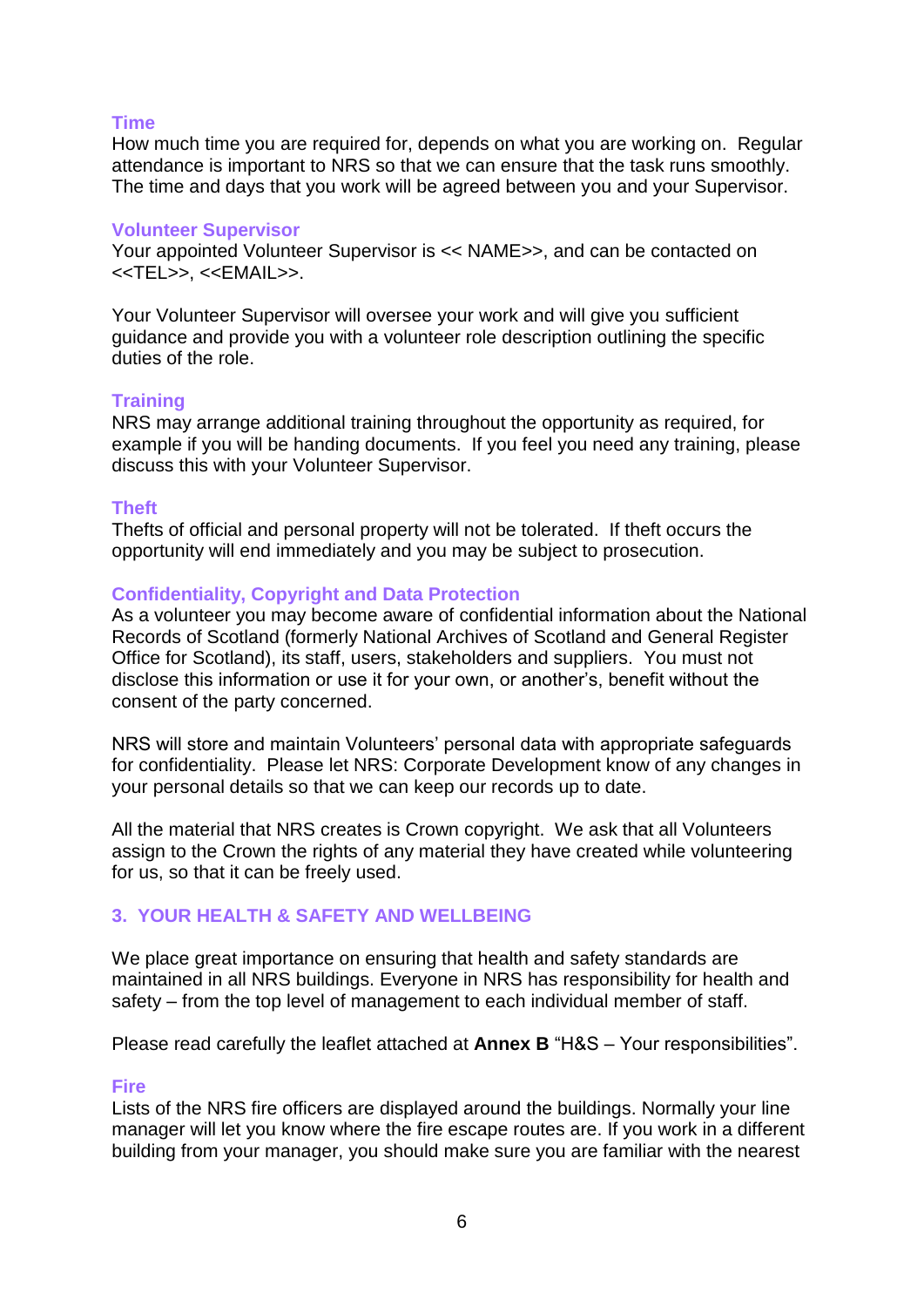## **Time**

How much time you are required for, depends on what you are working on. Regular attendance is important to NRS so that we can ensure that the task runs smoothly. The time and days that you work will be agreed between you and your Supervisor.

#### **Volunteer Supervisor**

Your appointed Volunteer Supervisor is << NAME>>, and can be contacted on <<TEL>>, <<EMAIL>>.

Your Volunteer Supervisor will oversee your work and will give you sufficient guidance and provide you with a volunteer role description outlining the specific duties of the role.

#### **Training**

NRS may arrange additional training throughout the opportunity as required, for example if you will be handing documents. If you feel you need any training, please discuss this with your Volunteer Supervisor.

#### **Theft**

Thefts of official and personal property will not be tolerated. If theft occurs the opportunity will end immediately and you may be subject to prosecution.

## **Confidentiality, Copyright and Data Protection**

As a volunteer you may become aware of confidential information about the National Records of Scotland (formerly National Archives of Scotland and General Register Office for Scotland), its staff, users, stakeholders and suppliers. You must not disclose this information or use it for your own, or another's, benefit without the consent of the party concerned.

NRS will store and maintain Volunteers' personal data with appropriate safeguards for confidentiality. Please let NRS: Corporate Development know of any changes in your personal details so that we can keep our records up to date.

All the material that NRS creates is Crown copyright. We ask that all Volunteers assign to the Crown the rights of any material they have created while volunteering for us, so that it can be freely used.

# **3. YOUR HEALTH & SAFETY AND WELLBEING**

We place great importance on ensuring that health and safety standards are maintained in all NRS buildings. Everyone in NRS has responsibility for health and safety – from the top level of management to each individual member of staff.

Please read carefully the leaflet attached at **Annex B** "H&S – Your responsibilities".

## **Fire**

Lists of the NRS fire officers are displayed around the buildings. Normally your line manager will let you know where the fire escape routes are. If you work in a different building from your manager, you should make sure you are familiar with the nearest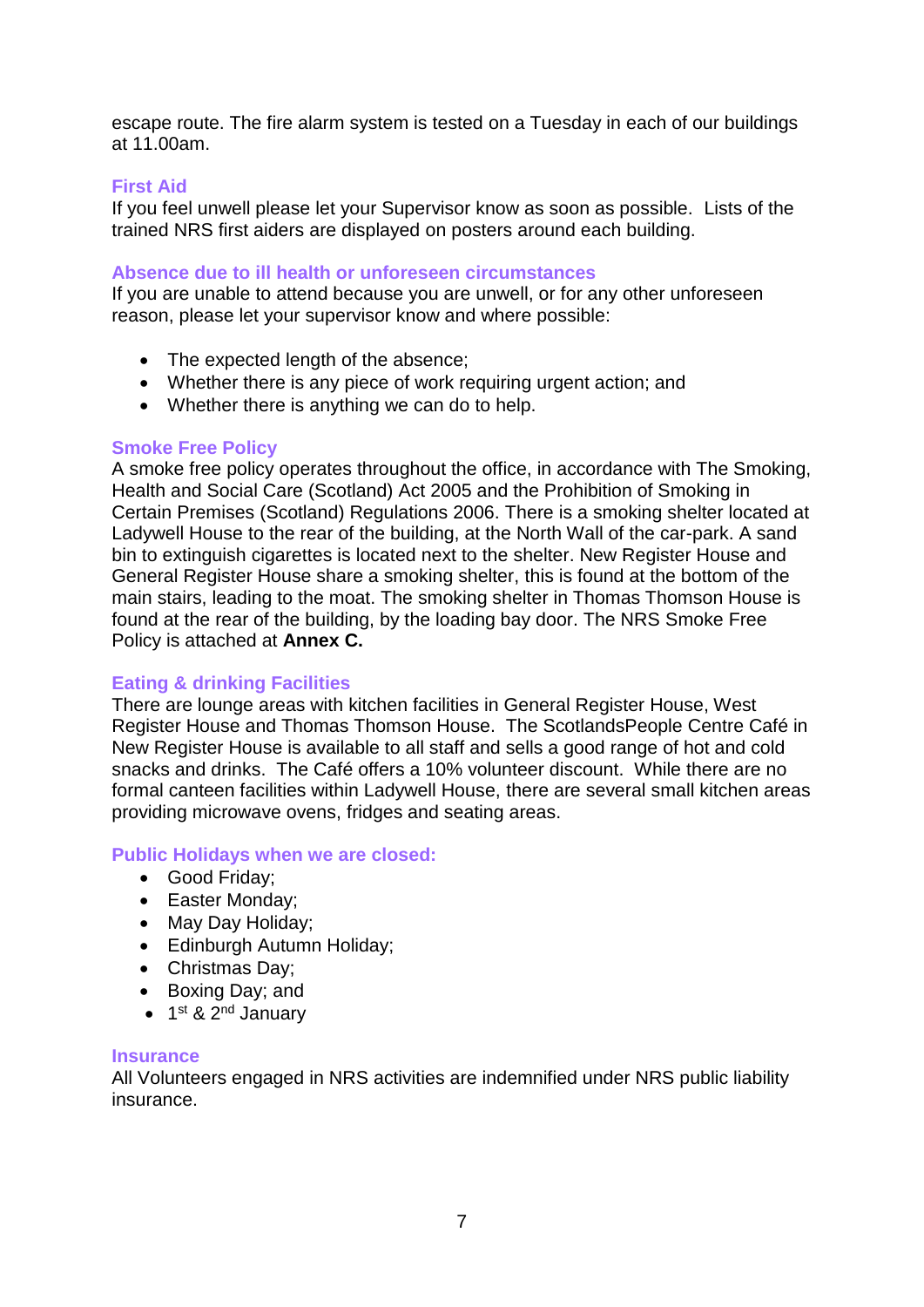escape route. The fire alarm system is tested on a Tuesday in each of our buildings at 11.00am.

## **First Aid**

If you feel unwell please let your Supervisor know as soon as possible. Lists of the trained NRS first aiders are displayed on posters around each building.

## **Absence due to ill health or unforeseen circumstances**

If you are unable to attend because you are unwell, or for any other unforeseen reason, please let your supervisor know and where possible:

- The expected length of the absence;
- Whether there is any piece of work requiring urgent action; and
- Whether there is anything we can do to help.

## **Smoke Free Policy**

A smoke free policy operates throughout the office, in accordance with The Smoking, Health and Social Care (Scotland) Act 2005 and the Prohibition of Smoking in Certain Premises (Scotland) Regulations 2006. There is a smoking shelter located at Ladywell House to the rear of the building, at the North Wall of the car-park. A sand bin to extinguish cigarettes is located next to the shelter. New Register House and General Register House share a smoking shelter, this is found at the bottom of the main stairs, leading to the moat. The smoking shelter in Thomas Thomson House is found at the rear of the building, by the loading bay door. The NRS Smoke Free Policy is attached at **Annex C.**

## **Eating & drinking Facilities**

There are lounge areas with kitchen facilities in General Register House, West Register House and Thomas Thomson House. The ScotlandsPeople Centre Café in New Register House is available to all staff and sells a good range of hot and cold snacks and drinks. The Café offers a 10% volunteer discount. While there are no formal canteen facilities within Ladywell House, there are several small kitchen areas providing microwave ovens, fridges and seating areas.

#### **Public Holidays when we are closed:**

- Good Friday;
- Easter Monday;
- May Day Holiday;
- Edinburgh Autumn Holiday;
- Christmas Day;
- Boxing Day; and
- 1<sup>st</sup> & 2<sup>nd</sup> January

#### **Insurance**

All Volunteers engaged in NRS activities are indemnified under NRS public liability insurance.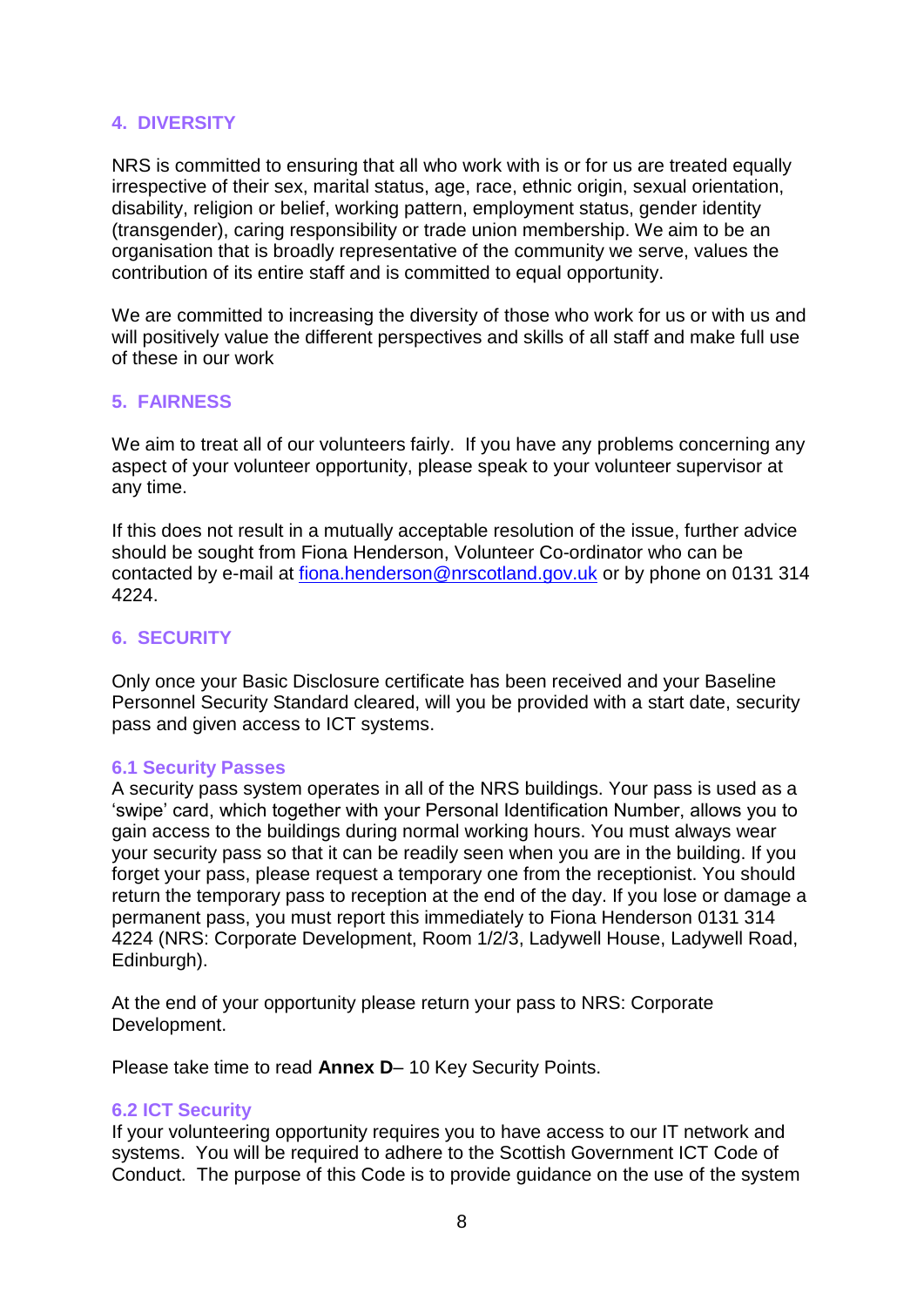## **4. DIVERSITY**

NRS is committed to ensuring that all who work with is or for us are treated equally irrespective of their sex, marital status, age, race, ethnic origin, sexual orientation, disability, religion or belief, working pattern, employment status, gender identity (transgender), caring responsibility or trade union membership. We aim to be an organisation that is broadly representative of the community we serve, values the contribution of its entire staff and is committed to equal opportunity.

We are committed to increasing the diversity of those who work for us or with us and will positively value the different perspectives and skills of all staff and make full use of these in our work

#### **5. FAIRNESS**

We aim to treat all of our volunteers fairly. If you have any problems concerning any aspect of your volunteer opportunity, please speak to your volunteer supervisor at any time.

If this does not result in a mutually acceptable resolution of the issue, further advice should be sought from Fiona Henderson, Volunteer Co-ordinator who can be contacted by e-mail at [fiona.henderson@nrscotland.gov.uk](mailto:fiona.henderson@nrscotland.gov.uk?subject=Volunteer%20Scheme) or by phone on 0131 314 4224.

## **6. SECURITY**

Only once your Basic Disclosure certificate has been received and your Baseline Personnel Security Standard cleared, will you be provided with a start date, security pass and given access to ICT systems.

#### **6.1 Security Passes**

A security pass system operates in all of the NRS buildings. Your pass is used as a 'swipe' card, which together with your Personal Identification Number, allows you to gain access to the buildings during normal working hours. You must always wear your security pass so that it can be readily seen when you are in the building. If you forget your pass, please request a temporary one from the receptionist. You should return the temporary pass to reception at the end of the day. If you lose or damage a permanent pass, you must report this immediately to Fiona Henderson 0131 314 4224 (NRS: Corporate Development, Room 1/2/3, Ladywell House, Ladywell Road, Edinburgh).

At the end of your opportunity please return your pass to NRS: Corporate Development.

Please take time to read **Annex D**– 10 Key Security Points.

#### **6.2 ICT Security**

If your volunteering opportunity requires you to have access to our IT network and systems. You will be required to adhere to the Scottish Government ICT Code of Conduct. The purpose of this Code is to provide guidance on the use of the system